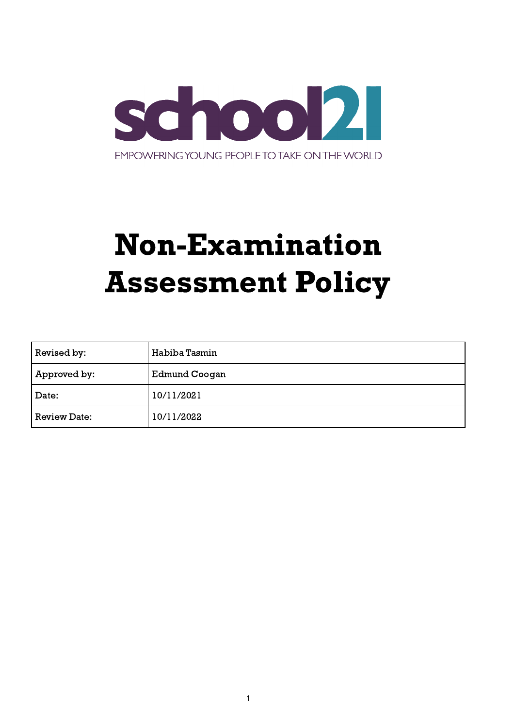

# Non-Examination Assessment Policy

| Revised by:         | Habiba Tasmin |
|---------------------|---------------|
| Approved by:        | Edmund Coogan |
| Date:               | 10/11/2021    |
| <b>Review Date:</b> | 10/11/2022    |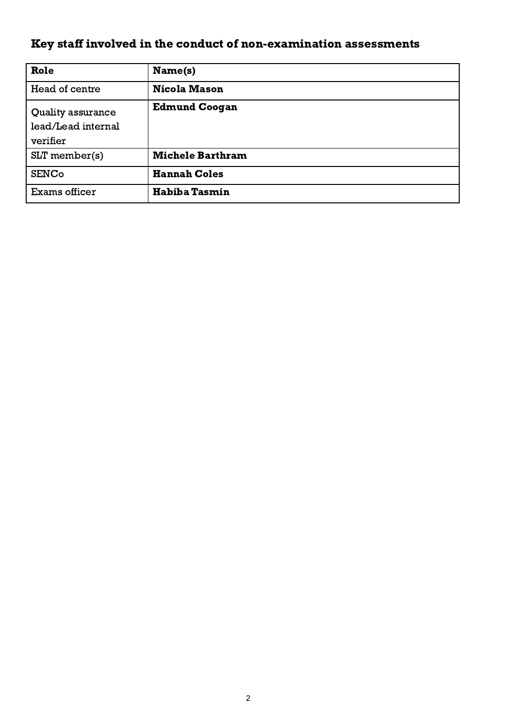# <span id="page-1-0"></span>Key staff involved in the conduct of non-examination assessments

| Role                                                | Name(s)                 |
|-----------------------------------------------------|-------------------------|
| Head of centre                                      | <b>Nicola Mason</b>     |
| Quality assurance<br>lead/Lead internal<br>verifier | <b>Edmund Coogan</b>    |
| $SLT$ member(s)                                     | <b>Michele Barthram</b> |
| <b>SENCo</b>                                        | <b>Hannah Coles</b>     |
| Exams officer                                       | <b>Habiba Tasmin</b>    |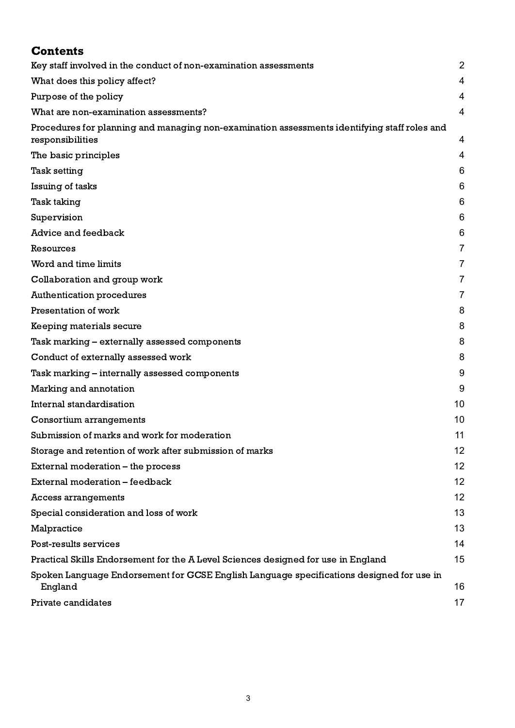<span id="page-2-0"></span>

| <b>Contents</b>                                                                                                  |                |
|------------------------------------------------------------------------------------------------------------------|----------------|
| Key staff involved in the conduct of non-examination assessments                                                 | $\overline{2}$ |
| What does this policy affect?                                                                                    | 4              |
| Purpose of the policy                                                                                            | 4              |
| What are non-examination assessments?                                                                            | 4              |
| Procedures for planning and managing non-examination assessments identifying staff roles and<br>responsibilities | 4              |
| The basic principles                                                                                             | 4              |
| <b>Task setting</b>                                                                                              | 6              |
| Issuing of tasks                                                                                                 | 6              |
| Task taking                                                                                                      | 6              |
| Supervision                                                                                                      | 6              |
| Advice and feedback                                                                                              | 6              |
| Resources                                                                                                        | 7              |
| Word and time limits                                                                                             | 7              |
| Collaboration and group work                                                                                     | 7              |
| <b>Authentication procedures</b>                                                                                 | 7              |
| Presentation of work                                                                                             | 8              |
| Keeping materials secure                                                                                         | 8              |
| Task marking – externally assessed components                                                                    | 8              |
| Conduct of externally assessed work                                                                              | 8              |
| Task marking – internally assessed components                                                                    | 9              |
| Marking and annotation                                                                                           | 9              |
| Internal standardisation                                                                                         | 10             |
| Consortium arrangements                                                                                          | 10             |
| Submission of marks and work for moderation                                                                      | 11             |
| Storage and retention of work after submission of marks                                                          | 12             |
| External moderation – the process                                                                                | 12             |
| External moderation - feedback                                                                                   | 12             |
| Access arrangements                                                                                              | 12             |
| Special consideration and loss of work                                                                           | 13             |
| Malpractice                                                                                                      | 13             |
| Post-results services                                                                                            | 14             |
| Practical Skills Endorsement for the A Level Sciences designed for use in England                                | 15             |
| Spoken Language Endorsement for GCSE English Language specifications designed for use in<br>England              | 16             |
| Private candidates                                                                                               | 17             |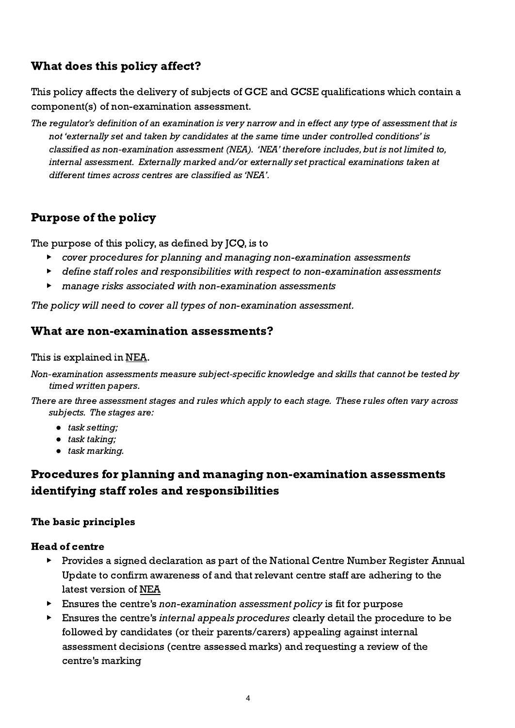# What does this policy affect?

This policy affects the delivery of subjects of GCE and GCSE qualifications which contain a component(s) of non-examination assessment.

The regulator's definition of an examination is very narrow and in effect any type of assessment that is not 'externally set and taken by candidates at the same time under controlled conditions' is classified as non-examination assessment (NEA). 'NEA' therefore includes, but is not limited to, internal assessment. Externally marked and/or externally set practical examinations taken at different times across centres are classified as 'NEA'.

# <span id="page-3-0"></span>Purpose of the policy

The purpose of this policy, as defined by JCQ, is to

- ▶ cover procedures for planning and managing non-examination assessments
- ▶ define staff roles and responsibilities with respect to non-examination assessments
- ▶ manage risks associated with non-examination assessments

<span id="page-3-1"></span>The policy will need to cover all types of non-examination assessment.

# What are non-examination assessments?

This is explained in [NEA](http://www.jcq.org.uk/exams-office/non-examination-assessments).

- Non-examination assessments measure subject-specific knowledge and skills that cannot be tested by timed written papers.
- There are three assessment stages and rules which apply to each stage. These rules often vary across subjects. The stages are:
	- *●* task setting;
	- *●* task taking;
	- *●* task marking.

# <span id="page-3-2"></span>Procedures for planning and managing non-examination assessments identifying staff roles and responsibilities

#### <span id="page-3-3"></span>The basic principles

#### Head of centre

- ▶ Provides a signed declaration as part of the National Centre Number Register Annual Update to confirm awareness of and that relevant centre staff are adhering to the latest version of [NEA](http://www.jcq.org.uk/exams-office/non-examination-assessments)
- ▶ Ensures the centre's non-examination assessment policy is fit for purpose
- ▶ Ensures the centre's internal appeals procedures clearly detail the procedure to be followed by candidates (or their parents/carers) appealing against internal assessment decisions (centre assessed marks) and requesting a review of the centre's marking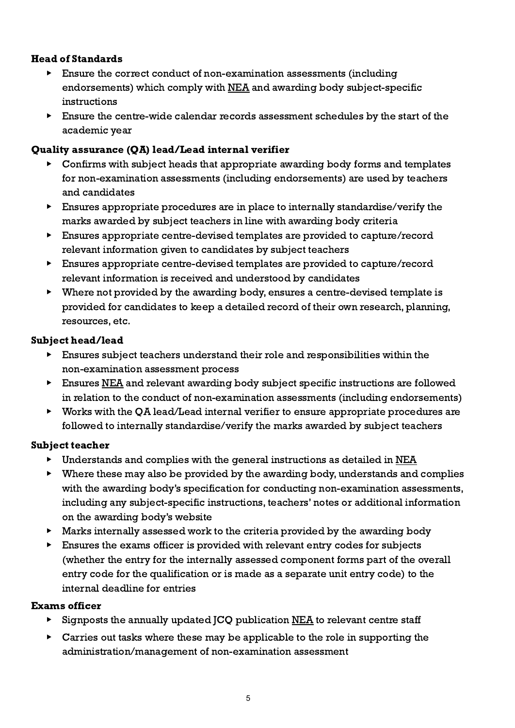# Head of Standards

- ▶ Ensure the correct conduct of non-examination assessments (including endorsements) which comply with [NEA](http://www.jcq.org.uk/exams-office/non-examination-assessments) and awarding body subject-specific instructions
- $\blacktriangleright$  Ensure the centre-wide calendar records assessment schedules by the start of the academic year

# Quality assurance (QA) lead/Lead internal verifier

- Confirms with subject heads that appropriate awarding body forms and templates for non-examination assessments (including endorsements) are used by teachers and candidates
- $\triangleright$  Ensures appropriate procedures are in place to internally standardise/verify the marks awarded by subject teachers in line with awarding body criteria
- ▶ Ensures appropriate centre-devised templates are provided to capture/record relevant information given to candidates by subject teachers
- ▶ Ensures appropriate centre-devised templates are provided to capture/record relevant information is received and understood by candidates
- ▶ Where not provided by the awarding body, ensures a centre-devised template is provided for candidates to keep a detailed record of their own research, planning, resources, etc.

# Subject head/lead

- ▶ Ensures subject teachers understand their role and responsibilities within the non-examination assessment process
- ▶ Ensures [NEA](http://www.jcq.org.uk/exams-office/non-examination-assessments) and relevant awarding body subject specific instructions are followed in relation to the conduct of non-examination assessments (including endorsements)
- ▶ Works with the QA lead/Lead internal verifier to ensure appropriate procedures are followed to internally standardise/verify the marks awarded by subject teachers

#### Subject teacher

- ▶ Understands and complies with the general instructions as detailed in [NEA](http://www.jcq.org.uk/exams-office/non-examination-assessments)
- ▶ Where these may also be provided by the awarding body, understands and complies with the awarding body's specification for conducting non-examination assessments, including any subject-specific instructions, teachers' notes or additional information on the awarding body's website
- ▶ Marks internally assessed work to the criteria provided by the awarding body
- Ensures the exams officer is provided with relevant entry codes for subjects (whether the entry for the internally assessed component forms part of the overall entry code for the qualification or is made as a separate unit entry code) to the internal deadline for entries

#### Exams officer

- ▶ Signposts the annually updated JCQ publication [NEA](http://www.jcq.org.uk/exams-office/non-examination-assessments) to relevant centre staff
- ▶ Carries out tasks where these may be applicable to the role in supporting the administration/management of non-examination assessment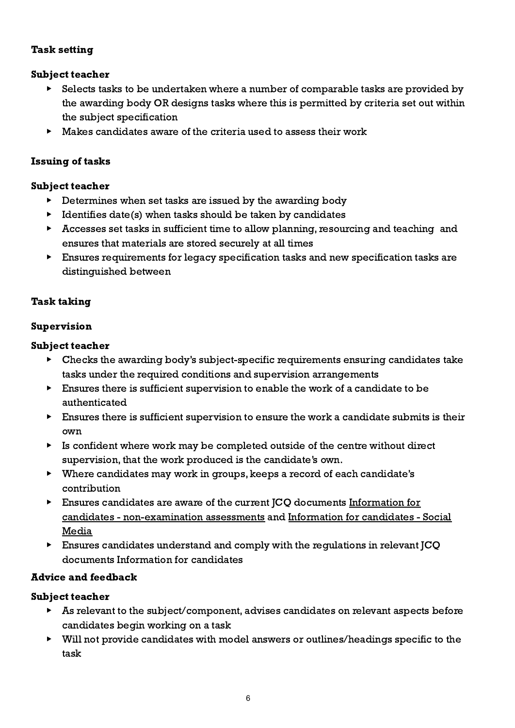#### <span id="page-5-0"></span>Task setting

# Subject teacher

- Selects tasks to be undertaken where a number of comparable tasks are provided by the awarding body OR designs tasks where this is permitted by criteria set out within the subject specification
- $\blacktriangleright$  Makes candidates aware of the criteria used to assess their work

# <span id="page-5-1"></span>Issuing of tasks

#### Subject teacher

- ▶ Determines when set tasks are issued by the awarding body
- $\blacktriangleright$  Identifies date(s) when tasks should be taken by candidates
- ▶ Accesses set tasks in sufficient time to allow planning, resourcing and teaching and ensures that materials are stored securely at all times
- ▶ Ensures requirements for legacy specification tasks and new specification tasks are distinguished between

# <span id="page-5-2"></span>Task taking

# <span id="page-5-3"></span>Supervision

#### Subject teacher

- ▶ Checks the awarding body's subject-specific requirements ensuring candidates take tasks under the required conditions and supervision arrangements
- ▶ Ensures there is sufficient supervision to enable the work of a candidate to be authenticated
- ▶ Ensures there is sufficient supervision to ensure the work a candidate submits is their own
- $\triangleright$  Is confident where work may be completed outside of the centre without direct supervision, that the work produced is the candidate's own.
- ▶ Where candidates may work in groups, keeps a record of each candidate's contribution
- ▶ Ensures candidates are aware of the current JCQ documents [Information](http://www.jcq.org.uk/exams-office/information-for-candidates-documents) for candidates - [non-examination](http://www.jcq.org.uk/exams-office/information-for-candidates-documents) assessments and [Information](http://www.jcq.org.uk/exams-office/information-for-candidates-documents) for candidates - Social **[Media](http://www.jcq.org.uk/exams-office/information-for-candidates-documents)**
- ▶ Ensures candidates understand and comply with the regulations in relevant JCQ documents Information for candidates

#### <span id="page-5-4"></span>Advice and feedback

- ▶ As relevant to the subject/component, advises candidates on relevant aspects before candidates begin working on a task
- ▶ Will not provide candidates with model answers or outlines/headings specific to the task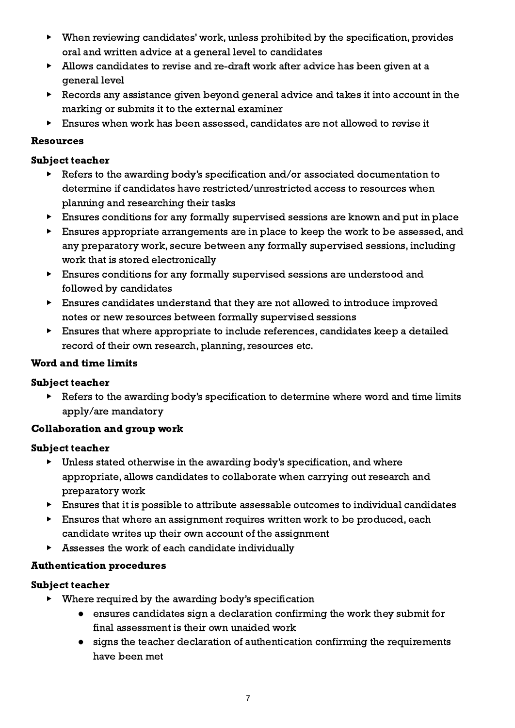- ▶ When reviewing candidates' work, unless prohibited by the specification, provides oral and written advice at a general level to candidates
- ▶ Allows candidates to revise and re-draft work after advice has been given at a general level
- ▶ Records any assistance given beyond general advice and takes it into account in the marking or submits it to the external examiner
- ▶ Ensures when work has been assessed, candidates are not allowed to revise it

#### <span id="page-6-0"></span>Resources

#### Subject teacher

- Refers to the awarding body's specification and/or associated documentation to determine if candidates have restricted/unrestricted access to resources when planning and researching their tasks
- ▶ Ensures conditions for any formally supervised sessions are known and put in place
- ▶ Ensures appropriate arrangements are in place to keep the work to be assessed, and any preparatory work, secure between any formally supervised sessions, including work that is stored electronically
- ▶ Ensures conditions for any formally supervised sessions are understood and followed by candidates
- ▶ Ensures candidates understand that they are not allowed to introduce improved notes or new resources between formally supervised sessions
- ▶ Ensures that where appropriate to include references, candidates keep a detailed record of their own research, planning, resources etc.

#### <span id="page-6-1"></span>Word and time limits

#### Subject teacher

Refers to the awarding body's specification to determine where word and time limits apply/are mandatory

#### <span id="page-6-2"></span>Collaboration and group work

#### Subject teacher

- $\triangleright$  Unless stated otherwise in the awarding body's specification, and where appropriate, allows candidates to collaborate when carrying out research and preparatory work
- ▶ Ensures that it is possible to attribute assessable outcomes to individual candidates
- ▶ Ensures that where an assignment requires written work to be produced, each candidate writes up their own account of the assignment
- ▶ Assesses the work of each candidate individually

#### <span id="page-6-3"></span>Authentication procedures

- ▶ Where required by the awarding body's specification
	- ensures candidates sign a declaration confirming the work they submit for final assessment is their own unaided work
	- signs the teacher declaration of authentication confirming the requirements have been met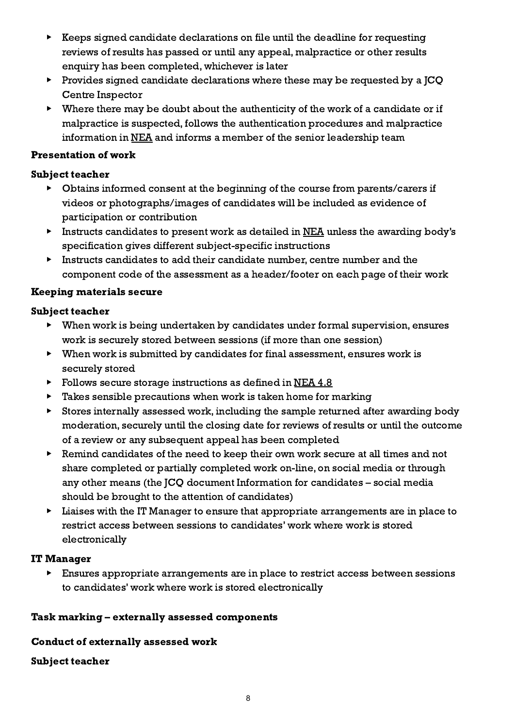- ▶ Keeps signed candidate declarations on file until the deadline for requesting reviews of results has passed or until any appeal, malpractice or other results enquiry has been completed, whichever is later
- ▶ Provides signed candidate declarations where these may be requested by a JCQ Centre Inspector
- $\triangleright$  Where there may be doubt about the authenticity of the work of a candidate or if malpractice is suspected, follows the authentication procedures and malpractice information in [NEA](http://www.jcq.org.uk/exams-office/non-examination-assessments) and informs a member of the senior leadership team

#### <span id="page-7-0"></span>Presentation of work

#### Subject teacher

- ▶ Obtains informed consent at the beginning of the course from parents/carers if videos or photographs/images of candidates will be included as evidence of participation or contribution
- ▶ Instructs candidates to present work as detailed in [NEA](http://www.jcq.org.uk/exams-office/non-examination-assessments) unless the awarding body's specification gives different subject-specific instructions
- ▶ Instructs candidates to add their candidate number, centre number and the component code of the assessment as a header/footer on each page of their work

#### <span id="page-7-1"></span>Keeping materials secure

#### Subject teacher

- ▶ When work is being undertaken by candidates under formal supervision, ensures work is securely stored between sessions (if more than one session)
- ▶ When work is submitted by candidates for final assessment, ensures work is securely stored
- ▶ Follows secure storage instructions as defined in [NEA](http://www.jcq.org.uk/exams-office/non-examination-assessments) 4.8
- ▶ Takes sensible precautions when work is taken home for marking
- ▶ Stores internally assessed work, including the sample returned after awarding body moderation, securely until the closing date for reviews of results or until the outcome of a review or any subsequent appeal has been completed
- ▶ Remind candidates of the need to keep their own work secure at all times and not share completed or partially completed work on-line, on social media or through any other means (the JCQ document Information for candidates – social media should be brought to the attention of candidates)
- ▶ Liaises with the IT Manager to ensure that appropriate arrangements are in place to restrict access between sessions to candidates' work where work is stored electronically

#### IT Manager

▶ Ensures appropriate arrangements are in place to restrict access between sessions to candidates' work where work is stored electronically

#### <span id="page-7-2"></span>Task marking – externally assessed components

#### <span id="page-7-3"></span>Conduct of externally assessed work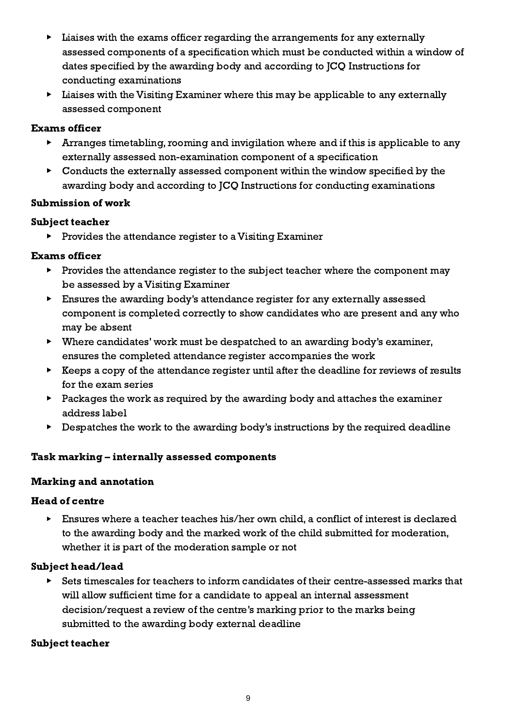- ▶ Liaises with the exams officer regarding the arrangements for any externally assessed components of a specification which must be conducted within a window of dates specified by the awarding body and according to JCQ Instructions for conducting examinations
- ▶ Liaises with the Visiting Examiner where this may be applicable to any externally assessed component

#### Exams officer

- ▶ Arranges timetabling, rooming and invigilation where and if this is applicable to any externally assessed non-examination component of a specification
- $\triangleright$  Conducts the externally assessed component within the window specified by the awarding body and according to JCQ Instructions for conducting examinations

#### Submission of work

# Subject teacher

▶ Provides the attendance register to a Visiting Examiner

# Exams officer

- ▶ Provides the attendance register to the subject teacher where the component may be assessed by a Visiting Examiner
- ▶ Ensures the awarding body's attendance register for any externally assessed component is completed correctly to show candidates who are present and any who may be absent
- ▶ Where candidates' work must be despatched to an awarding body's examiner, ensures the completed attendance register accompanies the work
- ▶ Keeps a copy of the attendance register until after the deadline for reviews of results for the exam series
- ▶ Packages the work as required by the awarding body and attaches the examiner address label
- ▶ Despatches the work to the awarding body's instructions by the required deadline

# <span id="page-8-0"></span>Task marking – internally assessed components

#### <span id="page-8-1"></span>Marking and annotation

#### Head of centre

▶ Ensures where a teacher teaches his/her own child, a conflict of interest is declared to the awarding body and the marked work of the child submitted for moderation, whether it is part of the moderation sample or not

#### Subject head/lead

▶ Sets timescales for teachers to inform candidates of their centre-assessed marks that will allow sufficient time for a candidate to appeal an internal assessment decision/request a review of the centre's marking prior to the marks being submitted to the awarding body external deadline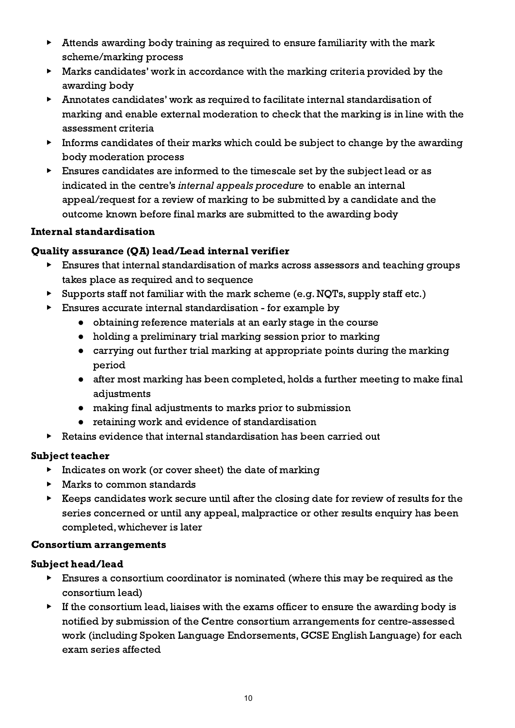- ▶ Attends awarding body training as required to ensure familiarity with the mark scheme/marking process
- ▶ Marks candidates' work in accordance with the marking criteria provided by the awarding body
- ▶ Annotates candidates' work as required to facilitate internal standardisation of marking and enable external moderation to check that the marking is in line with the assessment criteria
- $\blacktriangleright$  Informs candidates of their marks which could be subject to change by the awarding body moderation process
- ▶ Ensures candidates are informed to the timescale set by the subject lead or as indicated in the centre's internal appeals procedure to enable an internal appeal/request for a review of marking to be submitted by a candidate and the outcome known before final marks are submitted to the awarding body

# <span id="page-9-0"></span>Internal standardisation

# Quality assurance (QA) lead/Lead internal verifier

- ▶ Ensures that internal standardisation of marks across assessors and teaching groups takes place as required and to sequence
- ▶ Supports staff not familiar with the mark scheme (e.g. NQTs, supply staff etc.)
- ▶ Ensures accurate internal standardisation for example by
	- obtaining reference materials at an early stage in the course
	- holding a preliminary trial marking session prior to marking
	- carrying out further trial marking at appropriate points during the marking period
	- after most marking has been completed, holds a further meeting to make final adjustments
	- making final adjustments to marks prior to submission
	- retaining work and evidence of standardisation
- ▶ Retains evidence that internal standardisation has been carried out

#### Subject teacher

- $\triangleright$  Indicates on work (or cover sheet) the date of marking
- ▶ Marks to common standards
- ▶ Keeps candidates work secure until after the closing date for review of results for the series concerned or until any appeal, malpractice or other results enquiry has been completed, whichever is later

#### <span id="page-9-1"></span>Consortium arrangements

#### Subject head/lead

- ▶ Ensures a consortium coordinator is nominated (where this may be required as the consortium lead)
- $\triangleright$  If the consortium lead, liaises with the exams officer to ensure the awarding body is notified by submission of the Centre consortium arrangements for centre-assessed work (including Spoken Language Endorsements, GCSE English Language) for each exam series affected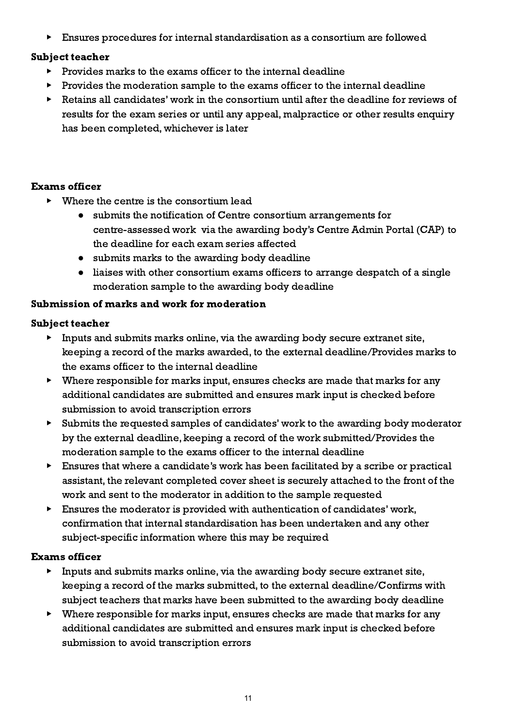▶ Ensures procedures for internal standardisation as a consortium are followed

#### Subject teacher

- ▶ Provides marks to the exams officer to the internal deadline
- ▶ Provides the moderation sample to the exams officer to the internal deadline
- Retains all candidates' work in the consortium until after the deadline for reviews of results for the exam series or until any appeal, malpractice or other results enquiry has been completed, whichever is later

#### Exams officer

- $\triangleright$  Where the centre is the consortium lead
	- submits the notification of Centre consortium arrangements for centre-assessed work via the awarding body's Centre Admin Portal (CAP) to the deadline for each exam series affected
	- submits marks to the awarding body deadline
	- liaises with other consortium exams officers to arrange despatch of a single moderation sample to the awarding body deadline

#### <span id="page-10-0"></span>Submission of marks and work for moderation

#### Subject teacher

- ▶ Inputs and submits marks online, via the awarding body secure extranet site, keeping a record of the marks awarded, to the external deadline/Provides marks to the exams officer to the internal deadline
- ▶ Where responsible for marks input, ensures checks are made that marks for any additional candidates are submitted and ensures mark input is checked before submission to avoid transcription errors
- ▶ Submits the requested samples of candidates' work to the awarding body moderator by the external deadline, keeping a record of the work submitted/Provides the moderation sample to the exams officer to the internal deadline
- ▶ Ensures that where a candidate's work has been facilitated by a scribe or practical assistant, the relevant completed cover sheet is securely attached to the front of the work and sent to the moderator in addition to the sample requested
- $\blacktriangleright$  Ensures the moderator is provided with authentication of candidates' work, confirmation that internal standardisation has been undertaken and any other subject-specific information where this may be required

#### Exams officer

- ▶ Inputs and submits marks online, via the awarding body secure extranet site, keeping a record of the marks submitted, to the external deadline/Confirms with subject teachers that marks have been submitted to the awarding body deadline
- ▶ Where responsible for marks input, ensures checks are made that marks for any additional candidates are submitted and ensures mark input is checked before submission to avoid transcription errors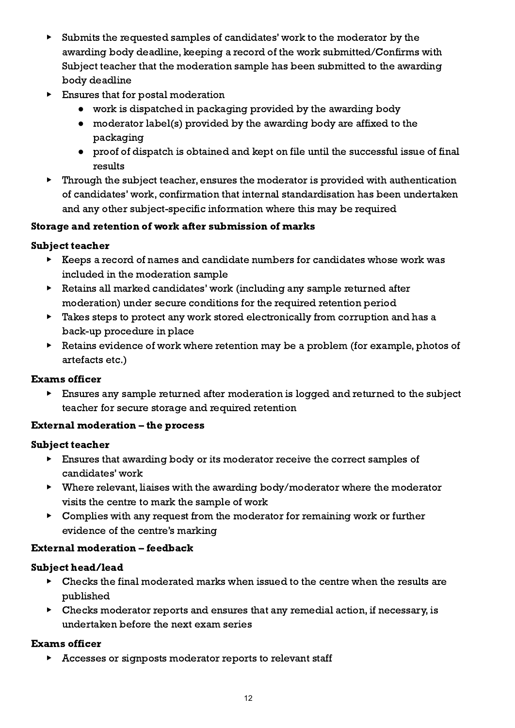- ▶ Submits the requested samples of candidates' work to the moderator by the awarding body deadline, keeping a record of the work submitted/Confirms with Subject teacher that the moderation sample has been submitted to the awarding body deadline
- ▶ Ensures that for postal moderation
	- work is dispatched in packaging provided by the awarding body
	- moderator label(s) provided by the awarding body are affixed to the packaging
	- proof of dispatch is obtained and kept on file until the successful issue of final results
- $\blacktriangleright$  Through the subject teacher, ensures the moderator is provided with authentication of candidates' work, confirmation that internal standardisation has been undertaken and any other subject-specific information where this may be required

# <span id="page-11-0"></span>Storage and retention of work after submission of marks

# Subject teacher

- ▶ Keeps a record of names and candidate numbers for candidates whose work was included in the moderation sample
- ▶ Retains all marked candidates' work (including any sample returned after moderation) under secure conditions for the required retention period
- ▶ Takes steps to protect any work stored electronically from corruption and has a back-up procedure in place
- ▶ Retains evidence of work where retention may be a problem (for example, photos of artefacts etc.)

# Exams officer

▶ Ensures any sample returned after moderation is logged and returned to the subject teacher for secure storage and required retention

# <span id="page-11-1"></span>External moderation – the process

# Subject teacher

- ▶ Ensures that awarding body or its moderator receive the correct samples of candidates' work
- ▶ Where relevant, liaises with the awarding body/moderator where the moderator visits the centre to mark the sample of work
- ▶ Complies with any request from the moderator for remaining work or further evidence of the centre's marking

# <span id="page-11-2"></span>External moderation – feedback

# Subject head/lead

- $\triangleright$  Checks the final moderated marks when issued to the centre when the results are published
- $\triangleright$  Checks moderator reports and ensures that any remedial action, if necessary, is undertaken before the next exam series

# Exams officer

▶ Accesses or signposts moderator reports to relevant staff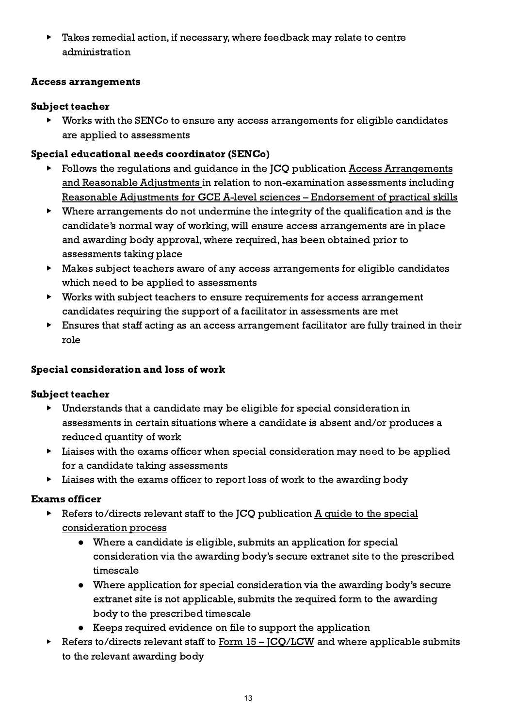▶ Takes remedial action, if necessary, where feedback may relate to centre administration

# <span id="page-12-0"></span>Access arrangements

# Subject teacher

▶ Works with the SENCo to ensure any access arrangements for eligible candidates are applied to assessments

# Special educational needs coordinator (SENCo)

- Follows the regulations and guidance in the JCQ publication Access [Arrangements](http://www.jcq.org.uk/exams-office/access-arrangements-and-special-consideration) and Reasonable [Adjustments](http://www.jcq.org.uk/exams-office/access-arrangements-and-special-consideration) in relation to non-examination assessments including Reasonable Adjustments for GCE A-level sciences – [Endorsement](https://www.jcq.org.uk/exams-office/access-arrangements-and-special-consideration/regulations-and-guidance) of practical skills
- ▶ Where arrangements do not undermine the integrity of the qualification and is the candidate's normal way of working, will ensure access arrangements are in place and awarding body approval, where required, has been obtained prior to assessments taking place
- ▶ Makes subject teachers aware of any access arrangements for eligible candidates which need to be applied to assessments
- ▶ Works with subject teachers to ensure requirements for access arrangement candidates requiring the support of a facilitator in assessments are met
- ▶ Ensures that staff acting as an access arrangement facilitator are fully trained in their role

# <span id="page-12-1"></span>Special consideration and loss of work

# Subject teacher

- ▶ Understands that a candidate may be eligible for special consideration in assessments in certain situations where a candidate is absent and/or produces a reduced quantity of work
- ▶ Liaises with the exams officer when special consideration may need to be applied for a candidate taking assessments
- ▶ Liaises with the exams officer to report loss of work to the awarding body

# Exams officer

- $\triangleright$  Refers to/directs relevant staff to the JCQ publication  $\underline{A}$  quide to the [special](http://www.jcq.org.uk/exams-office/access-arrangements-and-special-consideration) [consideration](http://www.jcq.org.uk/exams-office/access-arrangements-and-special-consideration) process
	- Where a candidate is eligible, submits an application for special consideration via the awarding body's secure extranet site to the prescribed timescale
	- Where application for special consideration via the awarding body's secure extranet site is not applicable, submits the required form to the awarding body to the prescribed timescale
	- Keeps required evidence on file to support the application
- $\triangleright$  Refers to/directs relevant staff to Form  $15 ^{\text{ICO/LCW}}$  and where applicable submits to the relevant awarding body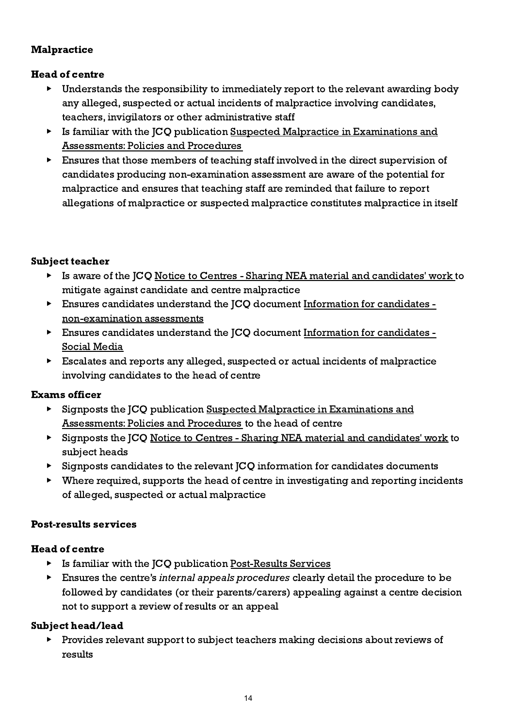# <span id="page-13-0"></span>**Malpractice**

# Head of centre

- ▶ Understands the responsibility to immediately report to the relevant awarding body any alleged, suspected or actual incidents of malpractice involving candidates, teachers, invigilators or other administrative staff
- ▶ Is familiar with the JCQ publication Suspected Malpractice in [Examinations](http://www.jcq.org.uk/exams-office/malpractice) and [Assessments:](http://www.jcq.org.uk/exams-office/malpractice) Policies and Procedures
- ▶ Ensures that those members of teaching staff involved in the direct supervision of candidates producing non-examination assessment are aware of the potential for malpractice and ensures that teaching staff are reminded that failure to report allegations of malpractice or suspected malpractice constitutes malpractice in itself

#### Subject teacher

- ▶ Is aware of the JCQ Notice to Centres Sharing NEA material and [candidates'](http://www.jcq.org.uk/exams-office/non-examination-assessments) work to mitigate against candidate and centre malpractice
- ▶ Ensures candidates understand the JCQ document [Information](http://www.jcq.org.uk/exams-office/information-for-candidates-documents) for candidates [non-examination](http://www.jcq.org.uk/exams-office/information-for-candidates-documents) assessments
- ▶ Ensures candidates understand the JCQ document [Information](http://www.jcq.org.uk/exams-office/information-for-candidates-documents) for candidates -Social [Media](http://www.jcq.org.uk/exams-office/information-for-candidates-documents)
- ▶ Escalates and reports any alleged, suspected or actual incidents of malpractice involving candidates to the head of centre

# Exams officer

- ▶ Signposts the JCQ publication Suspected Malpractice in [Examinations](http://www.jcq.org.uk/exams-office/malpractice) and [Assessments:](http://www.jcq.org.uk/exams-office/malpractice) Policies and Procedures to the head of centre
- ▶ Signposts the JCQ Notice to Centres Sharing NEA material and [candidates'](http://www.jcq.org.uk/exams-office/non-examination-assessments) work to subject heads
- ▶ Signposts candidates to the relevant JCQ information for candidates documents
- $\triangleright$  Where required, supports the head of centre in investigating and reporting incidents of alleged, suspected or actual malpractice

#### <span id="page-13-1"></span>Post-results services

#### Head of centre

- ▶ Is familiar with the JCQ publication [Post-Results](https://www.jcq.org.uk/exams-office/post-results-services) Services
- ▶ Ensures the centre's *internal appeals procedures* clearly detail the procedure to be followed by candidates (or their parents/carers) appealing against a centre decision not to support a review of results or an appeal

#### Subject head/lead

▶ Provides relevant support to subject teachers making decisions about reviews of results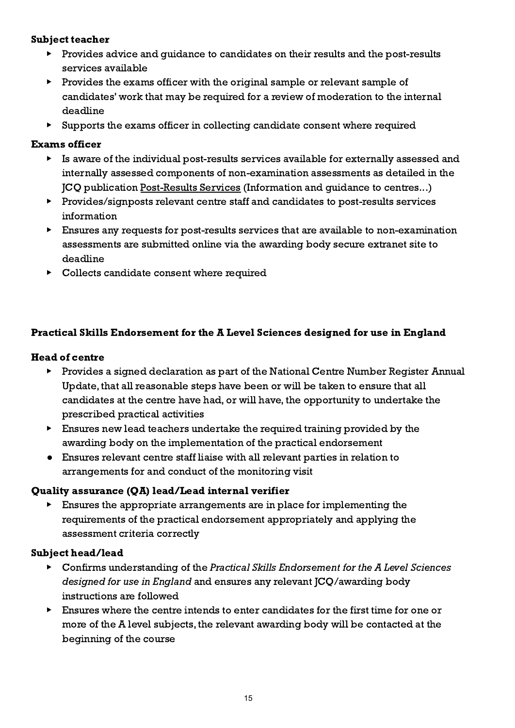#### Subject teacher

- ▶ Provides advice and guidance to candidates on their results and the post-results services available
- ▶ Provides the exams officer with the original sample or relevant sample of candidates' work that may be required for a review of moderation to the internal deadline
- ▶ Supports the exams officer in collecting candidate consent where required

#### Exams officer

- ▶ Is aware of the individual post-results services available for externally assessed and internally assessed components of non-examination assessments as detailed in the JCQ publication [Post-Results](https://www.jcq.org.uk/exams-office/post-results-services) Services (Information and guidance to centres...)
- ▶ Provides/signposts relevant centre staff and candidates to post-results services information
- $\blacktriangleright$  Ensures any requests for post-results services that are available to non-examination assessments are submitted online via the awarding body secure extranet site to deadline
- <span id="page-14-0"></span>▶ Collects candidate consent where required

# Practical Skills Endorsement for the A Level Sciences designed for use in England

# Head of centre

- ▶ Provides a signed declaration as part of the National Centre Number Register Annual Update, that all reasonable steps have been or will be taken to ensure that all candidates at the centre have had, or will have, the opportunity to undertake the prescribed practical activities
- ▶ Ensures new lead teachers undertake the required training provided by the awarding body on the implementation of the practical endorsement
- Ensures relevant centre staff liaise with all relevant parties in relation to arrangements for and conduct of the monitoring visit

#### Quality assurance (QA) lead/Lead internal verifier

▶ Ensures the appropriate arrangements are in place for implementing the requirements of the practical endorsement appropriately and applying the assessment criteria correctly

#### Subject head/lead

- Confirms understanding of the Practical Skills Endorsement for the A Level Sciences designed for use in England and ensures any relevant JCQ/awarding body instructions are followed
- ▶ Ensures where the centre intends to enter candidates for the first time for one or more of the A level subjects, the relevant awarding body will be contacted at the beginning of the course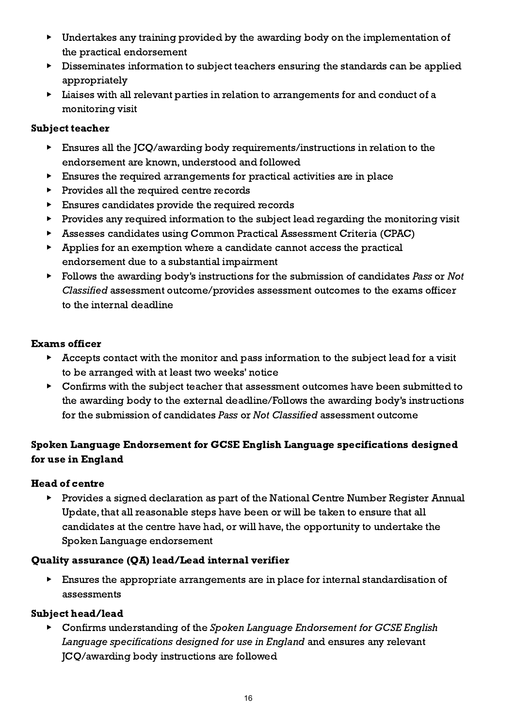- ▶ Undertakes any training provided by the awarding body on the implementation of the practical endorsement
- ▶ Disseminates information to subject teachers ensuring the standards can be applied appropriately
- ▶ Liaises with all relevant parties in relation to arrangements for and conduct of a monitoring visit

# Subject teacher

- Ensures all the JCQ/awarding body requirements/instructions in relation to the endorsement are known, understood and followed
- $\triangleright$  Ensures the required arrangements for practical activities are in place
- ▶ Provides all the required centre records
- ▶ Ensures candidates provide the required records
- ▶ Provides any required information to the subject lead regarding the monitoring visit
- ▶ Assesses candidates using Common Practical Assessment Criteria (CPAC)
- ▶ Applies for an exemption where a candidate cannot access the practical endorsement due to a substantial impairment
- $\triangleright$  Follows the awarding body's instructions for the submission of candidates Pass or Not Classified assessment outcome/provides assessment outcomes to the exams officer to the internal deadline

# Exams officer

- ▶ Accepts contact with the monitor and pass information to the subject lead for a visit to be arranged with at least two weeks' notice
- ▶ Confirms with the subject teacher that assessment outcomes have been submitted to the awarding body to the external deadline/Follows the awarding body's instructions for the submission of candidates Pass or Not Classified assessment outcome

# <span id="page-15-0"></span>Spoken Language Endorsement for GCSE English Language specifications designed for use in England

# Head of centre

▶ Provides a signed declaration as part of the National Centre Number Register Annual Update, that all reasonable steps have been or will be taken to ensure that all candidates at the centre have had, or will have, the opportunity to undertake the Spoken Language endorsement

# Quality assurance (QA) lead/Lead internal verifier

▶ Ensures the appropriate arrangements are in place for internal standardisation of assessments

# Subject head/lead

▶ Confirms understanding of the Spoken Language Endorsement for GCSE English Language specifications designed for use in England and ensures any relevant JCQ/awarding body instructions are followed